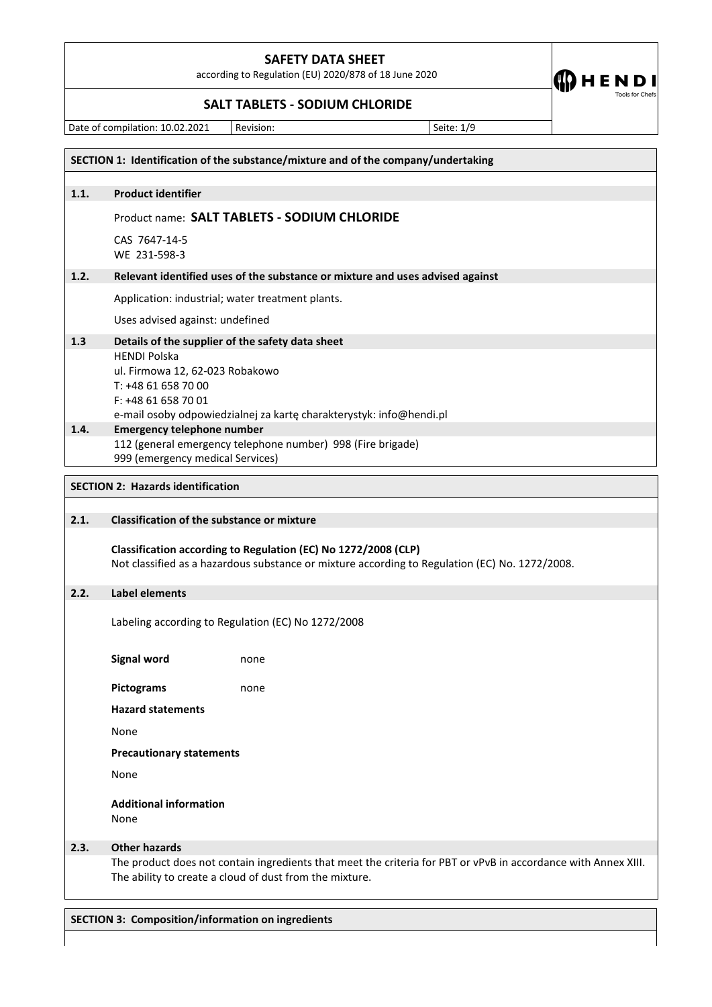according to Regulation (EU) 2020/878 of 18 June 2020

**SALT TABLETS - SODIUM CHLORIDE**

Date of compilation: 10.02.2021 Revision: Seite: 1/9

 $\bigcirc$  HENDI

Tools for Chefs

|      | SECTION 1: Identification of the substance/mixture and of the company/undertaking                                                                                         |  |  |  |  |
|------|---------------------------------------------------------------------------------------------------------------------------------------------------------------------------|--|--|--|--|
| 1.1. | <b>Product identifier</b>                                                                                                                                                 |  |  |  |  |
|      | Product name: SALT TABLETS - SODIUM CHLORIDE                                                                                                                              |  |  |  |  |
|      | CAS 7647-14-5                                                                                                                                                             |  |  |  |  |
|      | WE 231-598-3                                                                                                                                                              |  |  |  |  |
| 1.2. | Relevant identified uses of the substance or mixture and uses advised against                                                                                             |  |  |  |  |
|      | Application: industrial; water treatment plants.                                                                                                                          |  |  |  |  |
|      | Uses advised against: undefined                                                                                                                                           |  |  |  |  |
| 1.3  | Details of the supplier of the safety data sheet                                                                                                                          |  |  |  |  |
|      | <b>HENDI Polska</b><br>ul. Firmowa 12, 62-023 Robakowo                                                                                                                    |  |  |  |  |
|      | T: +48 61 658 70 00                                                                                                                                                       |  |  |  |  |
|      | F: +48 61 658 70 01<br>e-mail osoby odpowiedzialnej za kartę charakterystyk: info@hendi.pl                                                                                |  |  |  |  |
| 1.4. | <b>Emergency telephone number</b>                                                                                                                                         |  |  |  |  |
|      | 112 (general emergency telephone number) 998 (Fire brigade)<br>999 (emergency medical Services)                                                                           |  |  |  |  |
|      | <b>SECTION 2: Hazards identification</b>                                                                                                                                  |  |  |  |  |
|      |                                                                                                                                                                           |  |  |  |  |
| 2.1. | <b>Classification of the substance or mixture</b>                                                                                                                         |  |  |  |  |
|      | Classification according to Regulation (EC) No 1272/2008 (CLP)                                                                                                            |  |  |  |  |
|      | Not classified as a hazardous substance or mixture according to Regulation (EC) No. 1272/2008.                                                                            |  |  |  |  |
| 2.2. | <b>Label elements</b>                                                                                                                                                     |  |  |  |  |
|      | Labeling according to Regulation (EC) No 1272/2008                                                                                                                        |  |  |  |  |
|      | <b>Signal word</b><br>none                                                                                                                                                |  |  |  |  |
|      | <b>Pictograms</b><br>none                                                                                                                                                 |  |  |  |  |
|      | <b>Hazard statements</b>                                                                                                                                                  |  |  |  |  |
|      | None                                                                                                                                                                      |  |  |  |  |
|      | <b>Precautionary statements</b>                                                                                                                                           |  |  |  |  |
|      | None                                                                                                                                                                      |  |  |  |  |
|      | <b>Additional information</b><br>None                                                                                                                                     |  |  |  |  |
| 2.3. | <b>Other hazards</b>                                                                                                                                                      |  |  |  |  |
|      | The product does not contain ingredients that meet the criteria for PBT or vPvB in accordance with Annex XIII.<br>The ability to create a cloud of dust from the mixture. |  |  |  |  |

**SECTION 3: Composition/information on ingredients**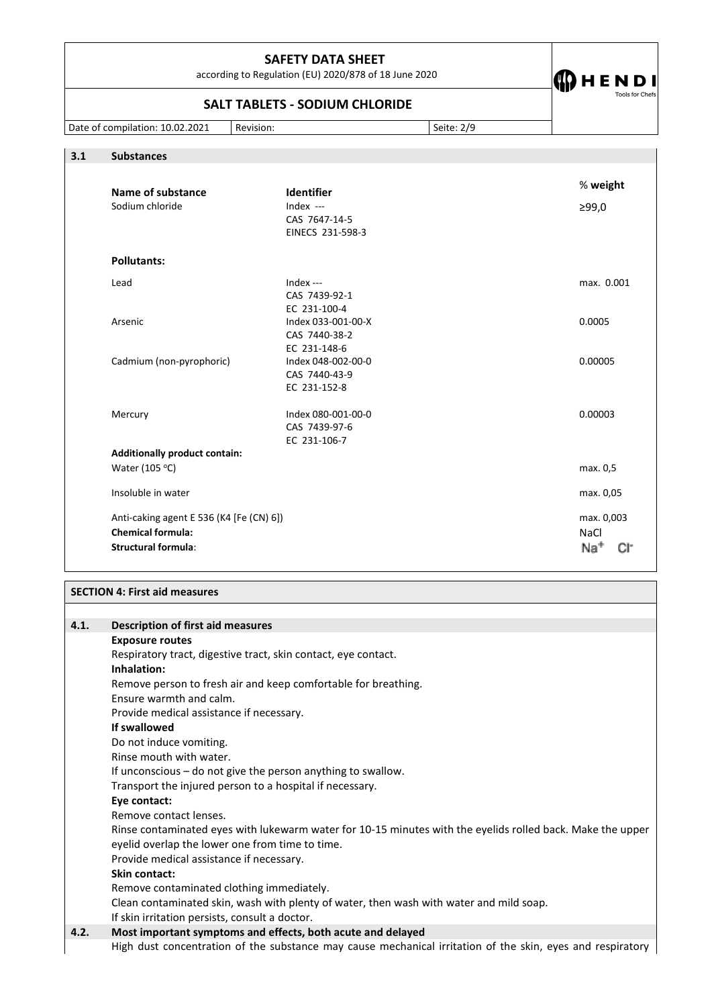according to Regulation (EU) 2020/878 of 18 June 2020

# **SALT TABLETS - SODIUM CHLORIDE**

Date of compilation: 10.02.2021 Revision: Seite: 2/9

 $\bigoplus$  H E N D I

**3.1 Substances**

| 3.I<br><b>Substances</b>                 |                                                                |                        |
|------------------------------------------|----------------------------------------------------------------|------------------------|
| Name of substance<br>Sodium chloride     | Identifier<br>Index $---$<br>CAS 7647-14-5<br>EINECS 231-598-3 | % weight<br>≥99,0      |
|                                          |                                                                |                        |
| <b>Pollutants:</b>                       |                                                                |                        |
| Lead                                     | Index $--$<br>CAS 7439-92-1<br>EC 231-100-4                    | max. 0.001             |
| Arsenic                                  | Index 033-001-00-X<br>CAS 7440-38-2<br>EC 231-148-6            | 0.0005                 |
| Cadmium (non-pyrophoric)                 | Index 048-002-00-0<br>CAS 7440-43-9<br>EC 231-152-8            | 0.00005                |
| Mercury                                  | Index 080-001-00-0<br>CAS 7439-97-6<br>EC 231-106-7            | 0.00003                |
| <b>Additionally product contain:</b>     |                                                                |                        |
| Water (105 °C)                           |                                                                | max. 0,5               |
| Insoluble in water                       |                                                                | max. 0,05              |
| Anti-caking agent E 536 (K4 [Fe (CN) 6]) |                                                                | max. 0,003             |
| <b>Chemical formula:</b>                 |                                                                | NaCl                   |
| <b>Structural formula:</b>               |                                                                | Na <sup>+</sup><br>CI- |

### **SECTION 4: First aid measures**

| 4.1. | <b>Description of first aid measures</b>                                                                   |  |  |
|------|------------------------------------------------------------------------------------------------------------|--|--|
|      | <b>Exposure routes</b>                                                                                     |  |  |
|      | Respiratory tract, digestive tract, skin contact, eye contact.                                             |  |  |
|      | Inhalation:                                                                                                |  |  |
|      | Remove person to fresh air and keep comfortable for breathing.                                             |  |  |
|      | Ensure warmth and calm.                                                                                    |  |  |
|      | Provide medical assistance if necessary.                                                                   |  |  |
|      | If swallowed                                                                                               |  |  |
|      | Do not induce vomiting.                                                                                    |  |  |
|      | Rinse mouth with water.                                                                                    |  |  |
|      | If unconscious – do not give the person anything to swallow.                                               |  |  |
|      | Transport the injured person to a hospital if necessary.                                                   |  |  |
|      | Eye contact:                                                                                               |  |  |
|      | Remove contact lenses.                                                                                     |  |  |
|      | Rinse contaminated eyes with lukewarm water for 10-15 minutes with the eyelids rolled back. Make the upper |  |  |
|      | eyelid overlap the lower one from time to time.                                                            |  |  |
|      | Provide medical assistance if necessary.                                                                   |  |  |
|      | Skin contact:                                                                                              |  |  |
|      | Remove contaminated clothing immediately.                                                                  |  |  |
|      | Clean contaminated skin, wash with plenty of water, then wash with water and mild soap.                    |  |  |
|      | If skin irritation persists, consult a doctor.                                                             |  |  |
| 4.2. | Most important symptoms and effects, both acute and delayed                                                |  |  |
|      | High dust concentration of the substance may cause mechanical irritation of the skin, eyes and respiratory |  |  |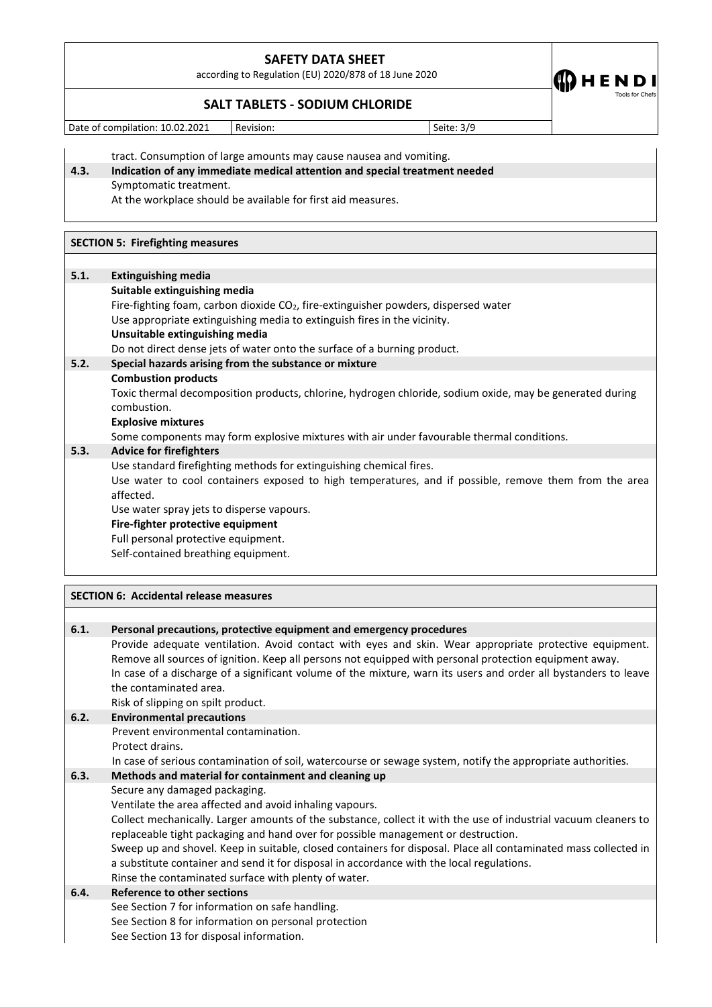according to Regulation (EU) 2020/878 of 18 June 2020

**SALT TABLETS - SODIUM CHLORIDE**

Date of compilation: 10.02.2021 Revision: Seite: 3/9

**CDHEND** 

tract. Consumption of large amounts may cause nausea and vomiting.

# **4.3. Indication of any immediate medical attention and special treatment needed** Symptomatic treatment.

At the workplace should be available for first aid measures.

#### **SECTION 5: Firefighting measures**

## **5.1. Extinguishing media**

**Suitable extinguishing media** Fire-fighting foam, carbon dioxide CO<sub>2</sub>, fire-extinguisher powders, dispersed water Use appropriate extinguishing media to extinguish fires in the vicinity. **Unsuitable extinguishing media** Do not direct dense jets of water onto the surface of a burning product. **5.2. Special hazards arising from the substance or mixture Combustion products** Toxic thermal decomposition products, chlorine, hydrogen chloride, sodium oxide, may be generated during combustion. **Explosive mixtures**  Some components may form explosive mixtures with air under favourable thermal conditions. **5.3. Advice for firefighters** Use standard firefighting methods for extinguishing chemical fires. Use water to cool containers exposed to high temperatures, and if possible, remove them from the area affected. Use water spray jets to disperse vapours. **Fire-fighter protective equipment** Full personal protective equipment. Self-contained breathing equipment.

# **SECTION 6: Accidental release measures 6.1. Personal precautions, protective equipment and emergency procedures** Provide adequate ventilation. Avoid contact with eyes and skin. Wear appropriate protective equipment. Remove all sources of ignition. Keep all persons not equipped with personal protection equipment away. In case of a discharge of a significant volume of the mixture, warn its users and order all bystanders to leave the contaminated area. Risk of slipping on spilt product. **6.2. Environmental precautions**  Prevent environmental contamination. Protect drains. In case of serious contamination of soil, watercourse or sewage system, notify the appropriate authorities. **6.3. Methods and material for containment and cleaning up**  Secure any damaged packaging. Ventilate the area affected and avoid inhaling vapours. Collect mechanically. Larger amounts of the substance, collect it with the use of industrial vacuum cleaners to replaceable tight packaging and hand over for possible management or destruction. Sweep up and shovel. Keep in suitable, closed containers for disposal. Place all contaminated mass collected in a substitute container and send it for disposal in accordance with the local regulations. Rinse the contaminated surface with plenty of water. **6.4. Reference to other sections**  See Section 7 for information on safe handling. See Section 8 for information on personal protection See Section 13 for disposal information.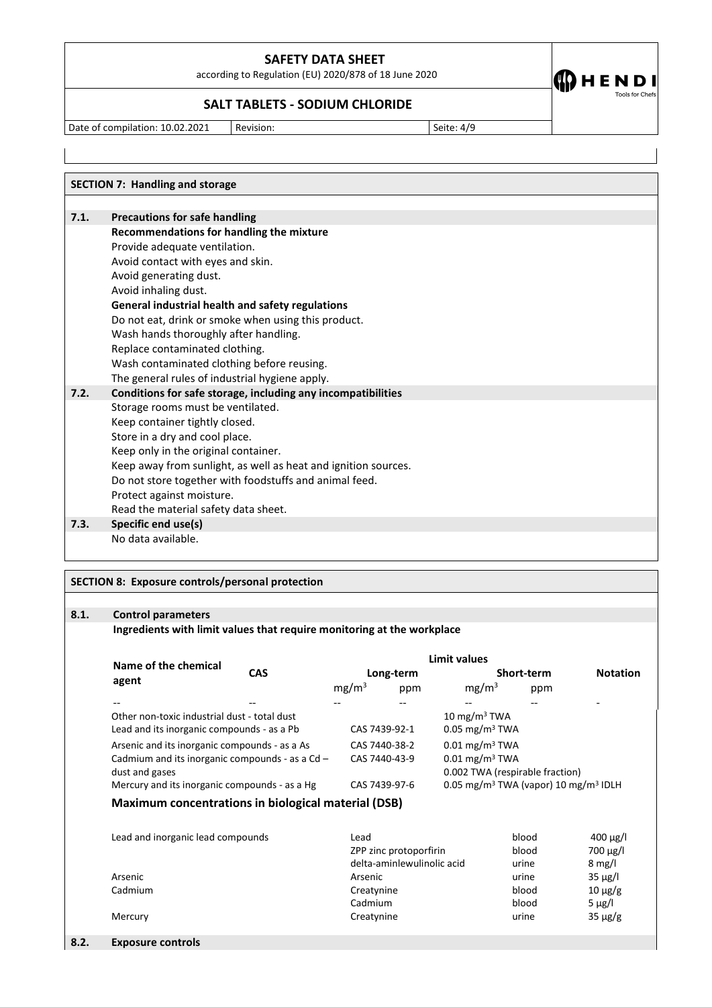according to Regulation (EU) 2020/878 of 18 June 2020

## **SALT TABLETS - SODIUM CHLORIDE**

Date of compilation: 10.02.2021 Revision: Seite: 4/9

 $\bf{CD}$ HENDI

**SECTION 7: Handling and storage 7.1. Precautions for safe handling Recommendations for handling the mixture** Provide adequate ventilation. Avoid contact with eyes and skin. Avoid generating dust. Avoid inhaling dust. **General industrial health and safety regulations** Do not eat, drink or smoke when using this product. Wash hands thoroughly after handling. Replace contaminated clothing. Wash contaminated clothing before reusing. The general rules of industrial hygiene apply. **7.2. Conditions for safe storage, including any incompatibilities**  Storage rooms must be ventilated. Keep container tightly closed. Store in a dry and cool place. Keep only in the original container. Keep away from sunlight, as well as heat and ignition sources. Do not store together with foodstuffs and animal feed. Protect against moisture. Read the material safety data sheet. **7.3. Specific end use(s)** 

No data available.

### **SECTION 8: Exposure controls/personal protection**

### **8.1. Control parameters**

#### **Ingredients with limit values that require monitoring at the workplace**

|                                                     | Limit values |                   |               |                                                              |            |                 |
|-----------------------------------------------------|--------------|-------------------|---------------|--------------------------------------------------------------|------------|-----------------|
| Name of the chemical                                | <b>CAS</b>   |                   | Long-term     |                                                              | Short-term | <b>Notation</b> |
| agent                                               |              | mg/m <sup>3</sup> | ppm           | mg/m <sup>3</sup>                                            | ppm        |                 |
|                                                     |              |                   |               | --                                                           | --         |                 |
| Other non-toxic industrial dust - total dust        |              |                   |               | 10 mg/m <sup>3</sup> TWA                                     |            |                 |
| Lead and its inorganic compounds - as a Pb          |              |                   | CAS 7439-92-1 | $0.05$ mg/m <sup>3</sup> TWA                                 |            |                 |
| Arsenic and its inorganic compounds - as a As       |              |                   | CAS 7440-38-2 | $0.01 \text{ mg/m}^3$ TWA                                    |            |                 |
| Cadmium and its inorganic compounds - as a $Cd -$   |              |                   | CAS 7440-43-9 | $0.01$ mg/m <sup>3</sup> TWA                                 |            |                 |
| dust and gases                                      |              |                   |               | 0.002 TWA (respirable fraction)                              |            |                 |
| Mercury and its inorganic compounds - as a Hg       |              |                   | CAS 7439-97-6 | 0.05 mg/m <sup>3</sup> TWA (vapor) 10 mg/m <sup>3</sup> IDLH |            |                 |
| Maximum concentrations in biological material (DSB) |              |                   |               |                                                              |            |                 |
|                                                     |              |                   |               |                                                              |            |                 |
| Lead and inorganic lead compounds                   |              | Lead              |               |                                                              | blood      | $400 \mu g/l$   |

| Leau and morganic read compounds | Lcau                       | piuu  | $400 \mu g$      |
|----------------------------------|----------------------------|-------|------------------|
|                                  | ZPP zinc protoporfirin     | blood | $700 \mu g/l$    |
|                                  | delta-aminlewulinolic acid | urine | $8 \text{ mg/l}$ |
| Arsenic                          | Arsenic                    | urine | $35 \mu g/l$     |
| Cadmium                          | Creatynine                 | blood | $10 \mu g/g$     |
|                                  | Cadmium                    | blood | 5 $\mu$ g/l      |
| Mercury                          | Creatynine                 | urine | $35 \mu g/g$     |
|                                  |                            |       |                  |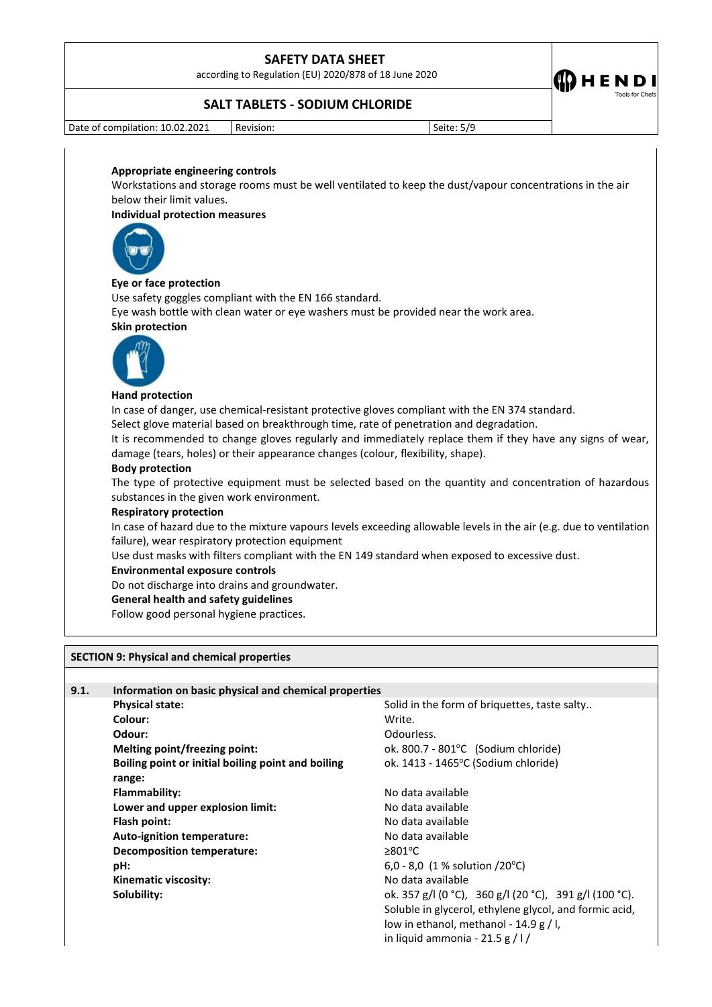according to Regulation (EU) 2020/878 of 18 June 2020



### **SALT TABLETS - SODIUM CHLORIDE**

Date of compilation:  $10.02.2021$  Revision: Seite: 5/9

#### **Appropriate engineering controls**

Workstations and storage rooms must be well ventilated to keep the dust/vapour concentrations in the air below their limit values.

#### **Individual protection measures**



#### **Eye or face protection**

Use safety goggles compliant with the EN 166 standard.

Eye wash bottle with clean water or eye washers must be provided near the work area.

#### **Skin protection**



#### **Hand protection**

In case of danger, use chemical-resistant protective gloves compliant with the EN 374 standard.

Select glove material based on breakthrough time, rate of penetration and degradation.

It is recommended to change gloves regularly and immediately replace them if they have any signs of wear, damage (tears, holes) or their appearance changes (colour, flexibility, shape).

### **Body protection**

The type of protective equipment must be selected based on the quantity and concentration of hazardous substances in the given work environment.

#### **Respiratory protection**

In case of hazard due to the mixture vapours levels exceeding allowable levels in the air (e.g. due to ventilation failure), wear respiratory protection equipment

Use dust masks with filters compliant with the EN 149 standard when exposed to excessive dust.

#### **Environmental exposure controls**

Do not discharge into drains and groundwater.

#### **General health and safety guidelines**

Follow good personal hygiene practices.

#### **SECTION 9: Physical and chemical properties**

| 9.1. | Information on basic physical and chemical properties |                                                        |  |  |
|------|-------------------------------------------------------|--------------------------------------------------------|--|--|
|      | <b>Physical state:</b>                                | Solid in the form of briquettes, taste salty           |  |  |
|      | Colour:                                               | Write.                                                 |  |  |
|      | Odour:                                                | Odourless.                                             |  |  |
|      | Melting point/freezing point:                         | ok. 800.7 - 801 $^{\circ}$ C (Sodium chloride)         |  |  |
|      | Boiling point or initial boiling point and boiling    | ok. 1413 - 1465°C (Sodium chloride)                    |  |  |
|      | range:                                                |                                                        |  |  |
|      | Flammability:                                         | No data available                                      |  |  |
|      | Lower and upper explosion limit:                      | No data available                                      |  |  |
|      | Flash point:                                          | No data available                                      |  |  |
|      | Auto-ignition temperature:                            | No data available                                      |  |  |
|      | <b>Decomposition temperature:</b>                     | $\geq 801^{\circ}$ C                                   |  |  |
|      | pH:                                                   | 6.0 - 8.0 (1 % solution /20 °C)                        |  |  |
|      | Kinematic viscosity:                                  | No data available                                      |  |  |
|      | Solubility:                                           | ok. 357 g/l (0 °C), 360 g/l (20 °C), 391 g/l (100 °C). |  |  |
|      |                                                       | Soluble in glycerol, ethylene glycol, and formic acid, |  |  |
|      |                                                       | low in ethanol, methanol - 14.9 g / l,                 |  |  |
|      |                                                       | in liquid ammonia - 21.5 g $/$ l $/$                   |  |  |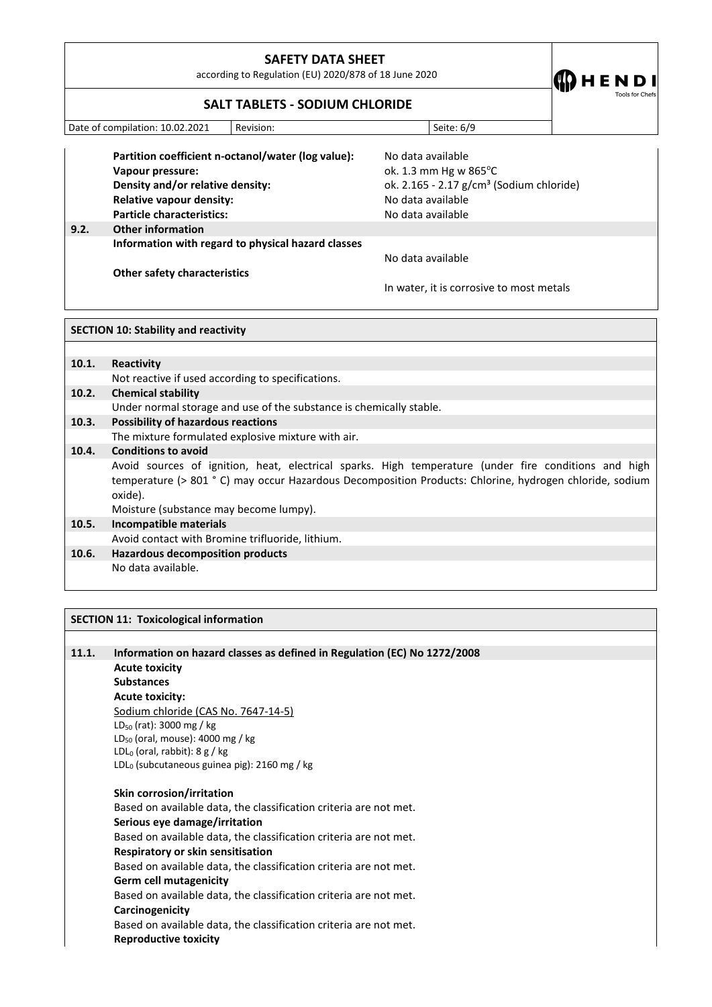according to Regulation (EU) 2020/878 of 18 June 2020

 $\bf{O}$  H E N D I

# **SALT TABLETS - SODIUM CHLORIDE**

| Date of compilation: 10.02.2021 | Revision: | Seite: 6/9 |
|---------------------------------|-----------|------------|

**Partition coefficient n-octanol/water (log value):** No data available **Vapour pressure: value of the Vapour pressure: ok.** 1.3 mm Hg w 865°C **Density and/or relative density: Density** ok. 2.165 - 2.17 g/cm<sup>3</sup> (Sodium chloride) **Relative vapour density:** No data available

**Particle characteristics:** No data available **9.2. Other information Information with regard to physical hazard classes Other safety characteristics**

No data available

In water, it is corrosive to most metals

|       | <b>SECTION 10: Stability and reactivity</b>                                                                                                                                                                               |  |  |
|-------|---------------------------------------------------------------------------------------------------------------------------------------------------------------------------------------------------------------------------|--|--|
|       |                                                                                                                                                                                                                           |  |  |
| 10.1. | Reactivity                                                                                                                                                                                                                |  |  |
|       | Not reactive if used according to specifications.                                                                                                                                                                         |  |  |
| 10.2. | <b>Chemical stability</b>                                                                                                                                                                                                 |  |  |
|       | Under normal storage and use of the substance is chemically stable.                                                                                                                                                       |  |  |
| 10.3. | <b>Possibility of hazardous reactions</b>                                                                                                                                                                                 |  |  |
|       | The mixture formulated explosive mixture with air.                                                                                                                                                                        |  |  |
| 10.4. | <b>Conditions to avoid</b>                                                                                                                                                                                                |  |  |
|       | Avoid sources of ignition, heat, electrical sparks. High temperature (under fire conditions and high<br>temperature (> 801 °C) may occur Hazardous Decomposition Products: Chlorine, hydrogen chloride, sodium<br>oxide). |  |  |
|       | Moisture (substance may become lumpy).                                                                                                                                                                                    |  |  |
| 10.5. | Incompatible materials                                                                                                                                                                                                    |  |  |
|       | Avoid contact with Bromine trifluoride, lithium.                                                                                                                                                                          |  |  |
| 10.6. | <b>Hazardous decomposition products</b>                                                                                                                                                                                   |  |  |
|       | No data available.                                                                                                                                                                                                        |  |  |
|       |                                                                                                                                                                                                                           |  |  |
|       |                                                                                                                                                                                                                           |  |  |

| 11.1. | Information on hazard classes as defined in Regulation (EC) No 1272/2008 |
|-------|--------------------------------------------------------------------------|
|       | <b>Acute toxicity</b>                                                    |
|       | <b>Substances</b>                                                        |
|       | <b>Acute toxicity:</b>                                                   |
|       | Sodium chloride (CAS No. 7647-14-5)                                      |
|       | $LD_{50}$ (rat): 3000 mg / kg                                            |
|       | $LD_{50}$ (oral, mouse): 4000 mg / kg                                    |
|       | $LDL0$ (oral, rabbit): 8 g / kg                                          |
|       | $LDL0$ (subcutaneous guinea pig): 2160 mg / kg                           |
|       |                                                                          |

**SECTION 11: Toxicological information**

**Skin corrosion/irritation** Based on available data, the classification criteria are not met. **Serious eye damage/irritation** Based on available data, the classification criteria are not met. **Respiratory or skin sensitisation** Based on available data, the classification criteria are not met. **Germ cell mutagenicity** Based on available data, the classification criteria are not met. **Carcinogenicity** Based on available data, the classification criteria are not met. **Reproductive toxicity**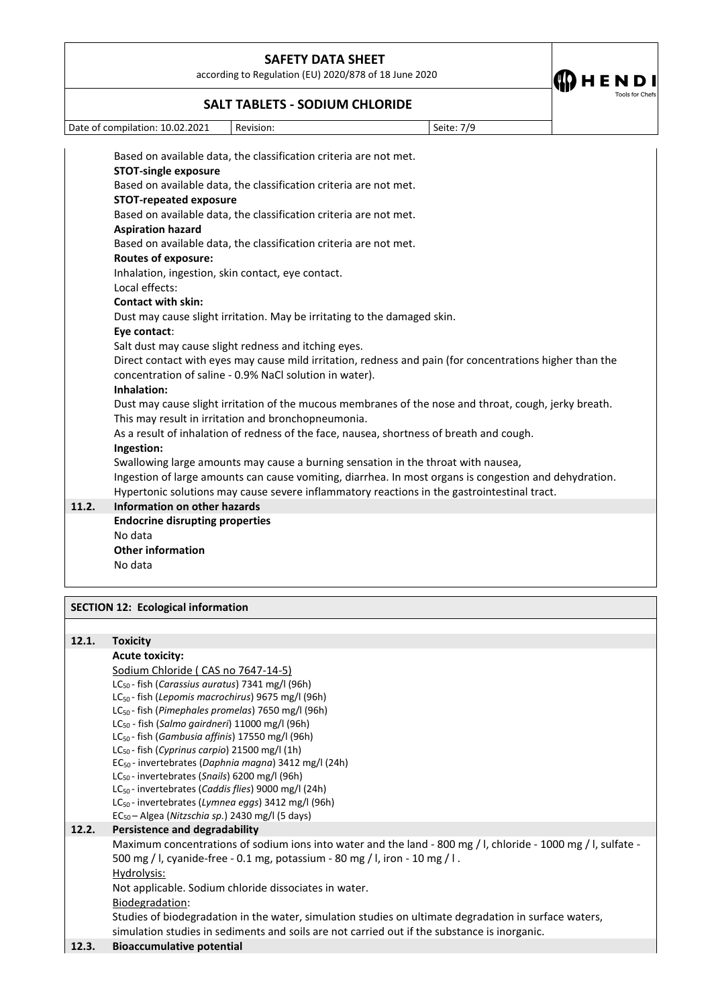according to Regulation (EU) 2020/878 of 18 June 2020

**CDHENDI** 

### **SALT TABLETS - SODIUM CHLORIDE**

Date of compilation: 10.02.2021 Revision: Seite: 7/9

Based on available data, the classification criteria are not met. **STOT-single exposure** Based on available data, the classification criteria are not met. **STOT-repeated exposure** Based on available data, the classification criteria are not met. **Aspiration hazard** Based on available data, the classification criteria are not met. **Routes of exposure:** Inhalation, ingestion, skin contact, eye contact. Local effects: **Contact with skin:** Dust may cause slight irritation. May be irritating to the damaged skin. **Eye contact**: Salt dust may cause slight redness and itching eyes. Direct contact with eyes may cause mild irritation, redness and pain (for concentrations higher than the concentration of saline - 0.9% NaCl solution in water). **Inhalation:** Dust may cause slight irritation of the mucous membranes of the nose and throat, cough, jerky breath. This may result in irritation and bronchopneumonia. As a result of inhalation of redness of the face, nausea, shortness of breath and cough. **Ingestion:** Swallowing large amounts may cause a burning sensation in the throat with nausea, Ingestion of large amounts can cause vomiting, diarrhea. In most organs is congestion and dehydration. Hypertonic solutions may cause severe inflammatory reactions in the gastrointestinal tract. **11.2. Information on other hazards Endocrine disrupting properties** No data **Other information** No data

### **SECTION 12: Ecological information**

| 12.1. | <b>Toxicity</b>                                                                                               |
|-------|---------------------------------------------------------------------------------------------------------------|
|       | <b>Acute toxicity:</b>                                                                                        |
|       | Sodium Chloride (CAS no 7647-14-5)                                                                            |
|       | LC <sub>50</sub> -fish (Carassius auratus) 7341 mg/l (96h)                                                    |
|       | $LC_{50}$ - fish (Lepomis macrochirus) 9675 mg/l (96h)                                                        |
|       | $LC_{50}$ - fish (Pimephales promelas) 7650 mg/l (96h)                                                        |
|       | $LC_{50}$ - fish ( <i>Salmo gairdneri</i> ) 11000 mg/l (96h)                                                  |
|       | $LC_{50}$ - fish ( <i>Gambusia affinis</i> ) 17550 mg/l (96h)                                                 |
|       | $LC_{50}$ - fish (Cyprinus carpio) 21500 mg/l (1h)                                                            |
|       | EC <sub>50</sub> - invertebrates (Daphnia magna) 3412 mg/l (24h)                                              |
|       | LC <sub>50</sub> - invertebrates (Snails) 6200 mg/l (96h)                                                     |
|       | $LC_{50}$ - invertebrates (Caddis flies) 9000 mg/l (24h)                                                      |
|       | $LC_{50}$ - invertebrates (Lymnea eggs) 3412 mg/l (96h)                                                       |
|       | $EC_{50}$ – Algea (Nitzschia sp.) 2430 mg/l (5 days)                                                          |
| 12.2. | Persistence and degradability                                                                                 |
|       | Maximum concentrations of sodium ions into water and the land - 800 mg / l, chloride - 1000 mg / l, sulfate - |
|       | 500 mg / l, cyanide-free - 0.1 mg, potassium - 80 mg / l, iron - 10 mg / l.                                   |
|       | Hydrolysis:                                                                                                   |
|       | Not applicable. Sodium chloride dissociates in water.                                                         |
|       | Biodegradation:                                                                                               |
|       | Studies of biodegradation in the water, simulation studies on ultimate degradation in surface waters,         |
|       |                                                                                                               |
| 12.3. | <b>Bioaccumulative potential</b>                                                                              |
|       | simulation studies in sediments and soils are not carried out if the substance is inorganic.                  |
|       |                                                                                                               |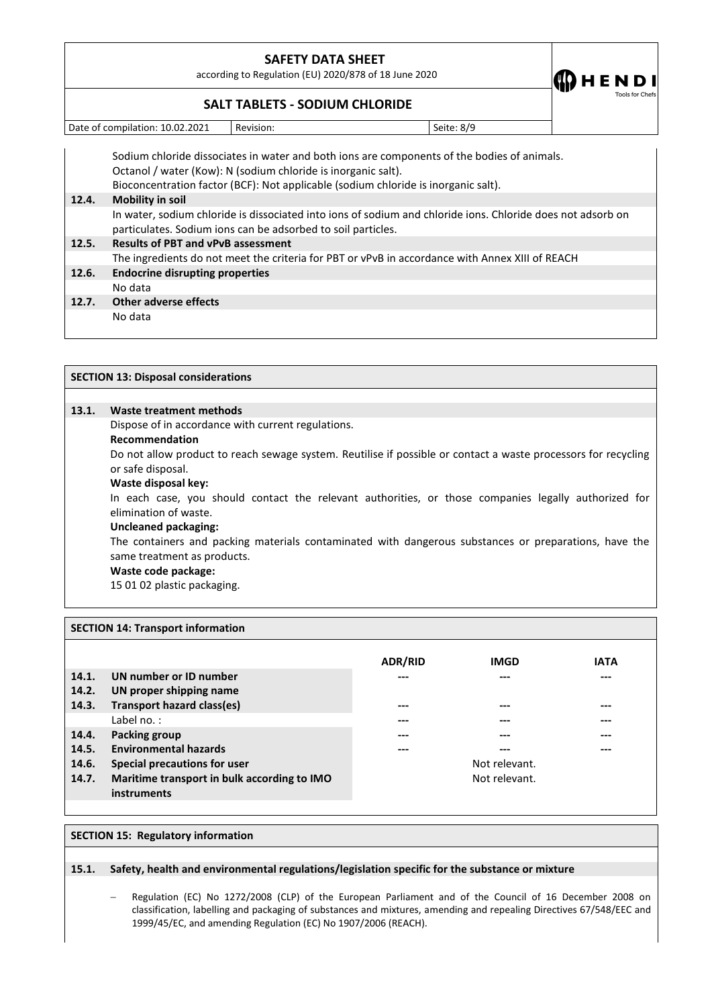according to Regulation (EU) 2020/878 of 18 June 2020

 $\bf{CD}$  H E N D I

## **SALT TABLETS - SODIUM CHLORIDE**

Date of compilation: 10.02.2021 Revision: Seite: 8/9

Sodium chloride dissociates in water and both ions are components of the bodies of animals. Octanol / water (Kow): N (sodium chloride is inorganic salt). Bioconcentration factor (BCF): Not applicable (sodium chloride is inorganic salt). **12.4. Mobility in soil**  In water, sodium chloride is dissociated into ions of sodium and chloride ions. Chloride does not adsorb on particulates. Sodium ions can be adsorbed to soil particles. **12.5. Results of PBT and vPvB assessment** The ingredients do not meet the criteria for PBT or vPvB in accordance with Annex XIII of REACH **12.6. Endocrine disrupting properties** No data **12.7. Other adverse effects** No data

|       | <b>SECTION 13: Disposal considerations</b>                                                                     |  |  |  |
|-------|----------------------------------------------------------------------------------------------------------------|--|--|--|
|       |                                                                                                                |  |  |  |
| 13.1. | Waste treatment methods                                                                                        |  |  |  |
|       | Dispose of in accordance with current regulations.                                                             |  |  |  |
|       | <b>Recommendation</b>                                                                                          |  |  |  |
|       | Do not allow product to reach sewage system. Reutilise if possible or contact a waste processors for recycling |  |  |  |
|       | or safe disposal.                                                                                              |  |  |  |
|       | Waste disposal key:                                                                                            |  |  |  |
|       | In each case, you should contact the relevant authorities, or those companies legally authorized for           |  |  |  |
|       | elimination of waste.                                                                                          |  |  |  |
|       | <b>Uncleaned packaging:</b>                                                                                    |  |  |  |
|       | The containers and packing materials contaminated with dangerous substances or preparations, have the          |  |  |  |
|       | same treatment as products.                                                                                    |  |  |  |
|       | Waste code package:                                                                                            |  |  |  |
|       | 15 01 02 plastic packaging.                                                                                    |  |  |  |
|       |                                                                                                                |  |  |  |
|       |                                                                                                                |  |  |  |

|       |                                             | <b>ADR/RID</b> | <b>IMGD</b>   | <b>IATA</b> |
|-------|---------------------------------------------|----------------|---------------|-------------|
| 14.1. | UN number or ID number                      | ---            | ---           | ---         |
| 14.2. | UN proper shipping name                     |                |               |             |
| 14.3. | <b>Transport hazard class(es)</b>           | ---            |               | ---         |
|       | Label no.:                                  |                |               | ---         |
| 14.4. | Packing group                               | ---            |               | ---         |
| 14.5. | <b>Environmental hazards</b>                | ---            | ---           | $---$       |
| 14.6. | Special precautions for user                |                | Not relevant. |             |
| 14.7. | Maritime transport in bulk according to IMO |                | Not relevant. |             |
|       | <i>instruments</i>                          |                |               |             |
|       |                                             |                |               |             |

### **SECTION 15: Regulatory information**

**SECTION 14: Transport information** 

### **15.1. Safety, health and environmental regulations/legislation specific for the substance or mixture**

 Regulation (EC) No 1272/2008 (CLP) of the European Parliament and of the Council of 16 December 2008 on classification, labelling and packaging of substances and mixtures, amending and repealing Directives 67/548/EEC and 1999/45/EC, and amending Regulation (EC) No 1907/2006 (REACH).